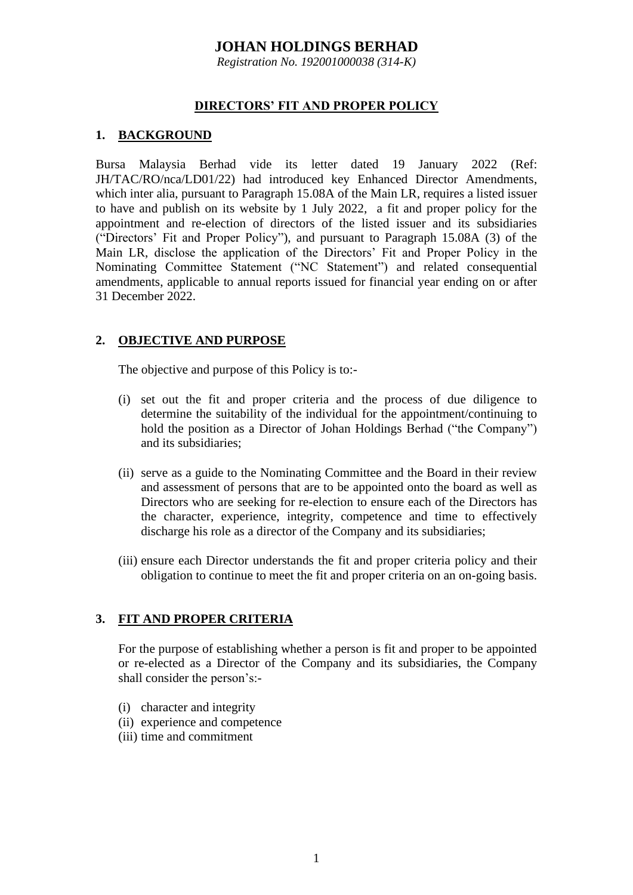*Registration No. 192001000038 (314-K)*

#### **DIRECTORS' FIT AND PROPER POLICY**

### **1. BACKGROUND**

Bursa Malaysia Berhad vide its letter dated 19 January 2022 (Ref: JH/TAC/RO/nca/LD01/22) had introduced key Enhanced Director Amendments, which inter alia, pursuant to Paragraph 15,08A of the Main LR, requires a listed issuer to have and publish on its website by 1 July 2022, a fit and proper policy for the appointment and re-election of directors of the listed issuer and its subsidiaries ("Directors' Fit and Proper Policy"), and pursuant to Paragraph 15.08A (3) of the Main LR, disclose the application of the Directors' Fit and Proper Policy in the Nominating Committee Statement ("NC Statement") and related consequential amendments, applicable to annual reports issued for financial year ending on or after 31 December 2022.

#### **2. OBJECTIVE AND PURPOSE**

The objective and purpose of this Policy is to:-

- (i) set out the fit and proper criteria and the process of due diligence to determine the suitability of the individual for the appointment/continuing to hold the position as a Director of Johan Holdings Berhad ("the Company") and its subsidiaries;
- (ii) serve as a guide to the Nominating Committee and the Board in their review and assessment of persons that are to be appointed onto the board as well as Directors who are seeking for re-election to ensure each of the Directors has the character, experience, integrity, competence and time to effectively discharge his role as a director of the Company and its subsidiaries;
- (iii) ensure each Director understands the fit and proper criteria policy and their obligation to continue to meet the fit and proper criteria on an on-going basis.

## **3. FIT AND PROPER CRITERIA**

For the purpose of establishing whether a person is fit and proper to be appointed or re-elected as a Director of the Company and its subsidiaries, the Company shall consider the person's:-

- (i) character and integrity
- (ii) experience and competence
- (iii) time and commitment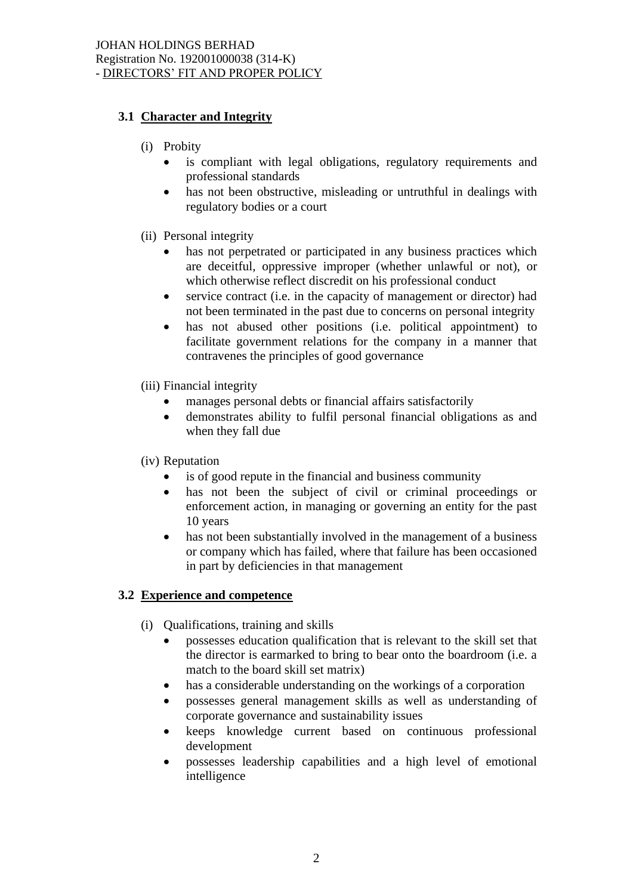## **3.1 Character and Integrity**

- (i) Probity
	- is compliant with legal obligations, regulatory requirements and professional standards
	- has not been obstructive, misleading or untruthful in dealings with regulatory bodies or a court
- (ii) Personal integrity
	- has not perpetrated or participated in any business practices which are deceitful, oppressive improper (whether unlawful or not), or which otherwise reflect discredit on his professional conduct
	- service contract (i.e. in the capacity of management or director) had not been terminated in the past due to concerns on personal integrity
	- has not abused other positions (i.e. political appointment) to facilitate government relations for the company in a manner that contravenes the principles of good governance
- (iii) Financial integrity
	- manages personal debts or financial affairs satisfactorily
	- demonstrates ability to fulfil personal financial obligations as and when they fall due

#### (iv) Reputation

- is of good repute in the financial and business community
- has not been the subject of civil or criminal proceedings or enforcement action, in managing or governing an entity for the past 10 years
- has not been substantially involved in the management of a business or company which has failed, where that failure has been occasioned in part by deficiencies in that management

## **3.2 Experience and competence**

- (i) Qualifications, training and skills
	- possesses education qualification that is relevant to the skill set that the director is earmarked to bring to bear onto the boardroom (i.e. a match to the board skill set matrix)
	- has a considerable understanding on the workings of a corporation
	- possesses general management skills as well as understanding of corporate governance and sustainability issues
	- keeps knowledge current based on continuous professional development
	- possesses leadership capabilities and a high level of emotional intelligence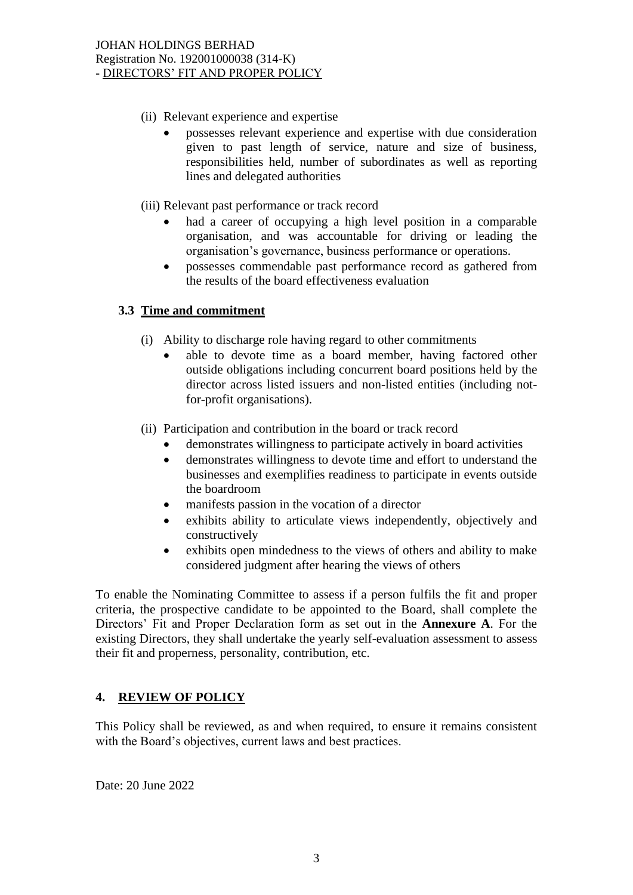- (ii) Relevant experience and expertise
	- possesses relevant experience and expertise with due consideration given to past length of service, nature and size of business, responsibilities held, number of subordinates as well as reporting lines and delegated authorities
- (iii) Relevant past performance or track record
	- had a career of occupying a high level position in a comparable organisation, and was accountable for driving or leading the organisation's governance, business performance or operations.
	- possesses commendable past performance record as gathered from the results of the board effectiveness evaluation

#### **3.3 Time and commitment**

- (i) Ability to discharge role having regard to other commitments
	- able to devote time as a board member, having factored other outside obligations including concurrent board positions held by the director across listed issuers and non-listed entities (including notfor-profit organisations).
- (ii) Participation and contribution in the board or track record
	- demonstrates willingness to participate actively in board activities
	- demonstrates willingness to devote time and effort to understand the businesses and exemplifies readiness to participate in events outside the boardroom
	- manifests passion in the vocation of a director
	- exhibits ability to articulate views independently, objectively and constructively
	- exhibits open mindedness to the views of others and ability to make considered judgment after hearing the views of others

To enable the Nominating Committee to assess if a person fulfils the fit and proper criteria, the prospective candidate to be appointed to the Board, shall complete the Directors' Fit and Proper Declaration form as set out in the **Annexure A**. For the existing Directors, they shall undertake the yearly self-evaluation assessment to assess their fit and properness, personality, contribution, etc.

## **4. REVIEW OF POLICY**

This Policy shall be reviewed, as and when required, to ensure it remains consistent with the Board's objectives, current laws and best practices.

Date: 20 June 2022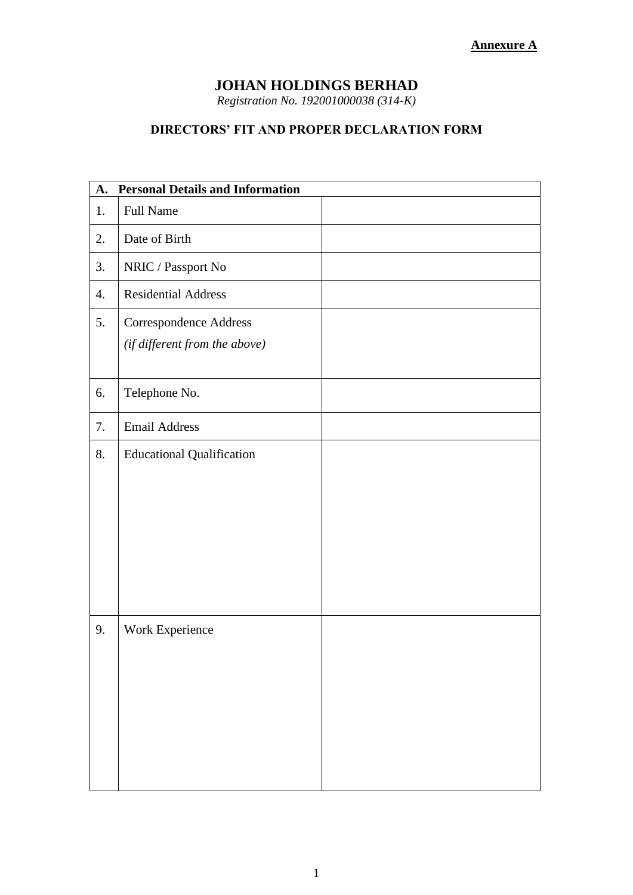*Registration No. 192001000038 (314-K)*

# **DIRECTORS' FIT AND PROPER DECLARATION FORM**

| <b>Personal Details and Information</b><br>A. |                                                                |  |
|-----------------------------------------------|----------------------------------------------------------------|--|
| 1.                                            | <b>Full Name</b>                                               |  |
| 2.                                            | Date of Birth                                                  |  |
| 3.                                            | NRIC / Passport No                                             |  |
| 4.                                            | <b>Residential Address</b>                                     |  |
| 5.                                            | <b>Correspondence Address</b><br>(if different from the above) |  |
| 6.                                            | Telephone No.                                                  |  |
| 7.                                            | <b>Email Address</b>                                           |  |
| 8.                                            | <b>Educational Qualification</b>                               |  |
| 9.                                            | Work Experience                                                |  |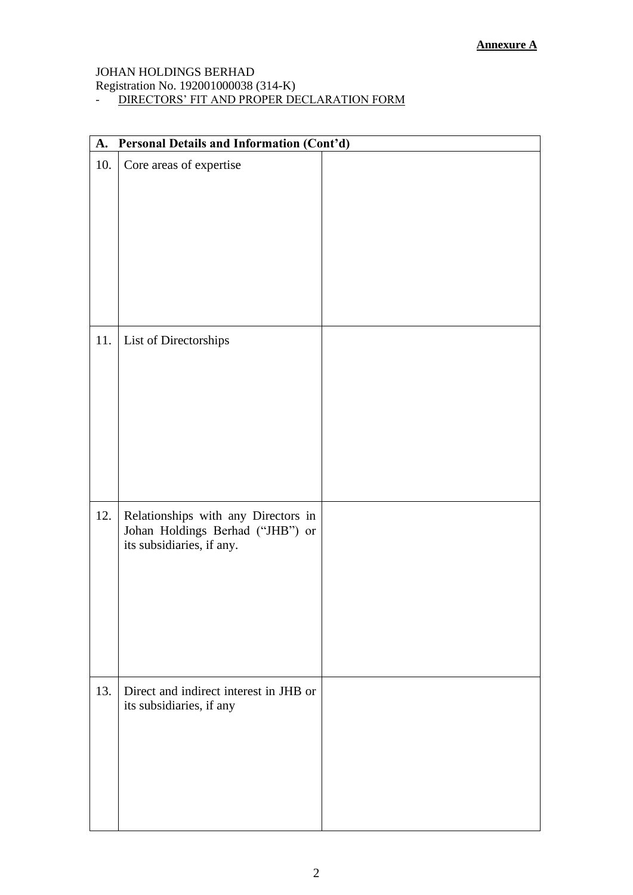Registration No. 192001000038 (314-K)

- DIRECTORS' FIT AND PROPER DECLARATION FORM

| Personal Details and Information (Cont'd)<br>A. |                                                                                                      |  |  |  |
|-------------------------------------------------|------------------------------------------------------------------------------------------------------|--|--|--|
| 10.                                             | Core areas of expertise                                                                              |  |  |  |
| 11.                                             | List of Directorships                                                                                |  |  |  |
| 12.                                             | Relationships with any Directors in<br>Johan Holdings Berhad ("JHB") or<br>its subsidiaries, if any. |  |  |  |
| 13.                                             | Direct and indirect interest in JHB or<br>its subsidiaries, if any                                   |  |  |  |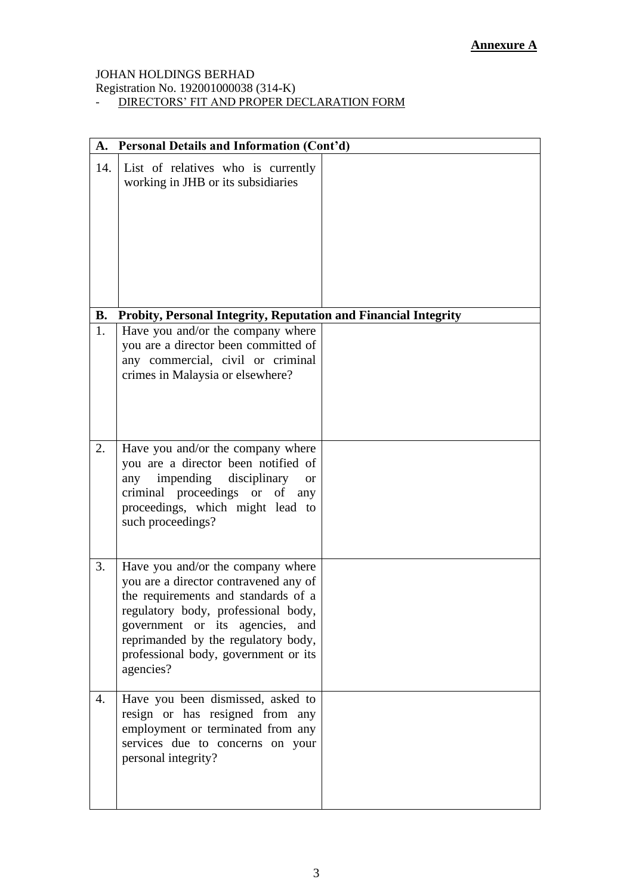Registration No. 192001000038 (314-K)

- DIRECTORS' FIT AND PROPER DECLARATION FORM

| A.        | Personal Details and Information (Cont'd)                                                                                                                                                                                                                                               |  |  |  |  |
|-----------|-----------------------------------------------------------------------------------------------------------------------------------------------------------------------------------------------------------------------------------------------------------------------------------------|--|--|--|--|
| 14.       | List of relatives who is currently<br>working in JHB or its subsidiaries                                                                                                                                                                                                                |  |  |  |  |
| <b>B.</b> | Probity, Personal Integrity, Reputation and Financial Integrity                                                                                                                                                                                                                         |  |  |  |  |
| 1.        | Have you and/or the company where<br>you are a director been committed of<br>any commercial, civil or criminal<br>crimes in Malaysia or elsewhere?                                                                                                                                      |  |  |  |  |
| 2.        | Have you and/or the company where<br>you are a director been notified of<br>impending disciplinary<br>any<br><b>or</b><br>criminal proceedings or of<br>any<br>proceedings, which might lead to<br>such proceedings?                                                                    |  |  |  |  |
| 3.        | Have you and/or the company where<br>you are a director contravened any of<br>the requirements and standards of a<br>regulatory body, professional body,<br>government or its agencies, and<br>reprimanded by the regulatory body,<br>professional body, government or its<br>agencies? |  |  |  |  |
| 4.        | Have you been dismissed, asked to<br>resign or has resigned from any<br>employment or terminated from any<br>services due to concerns on your<br>personal integrity?                                                                                                                    |  |  |  |  |